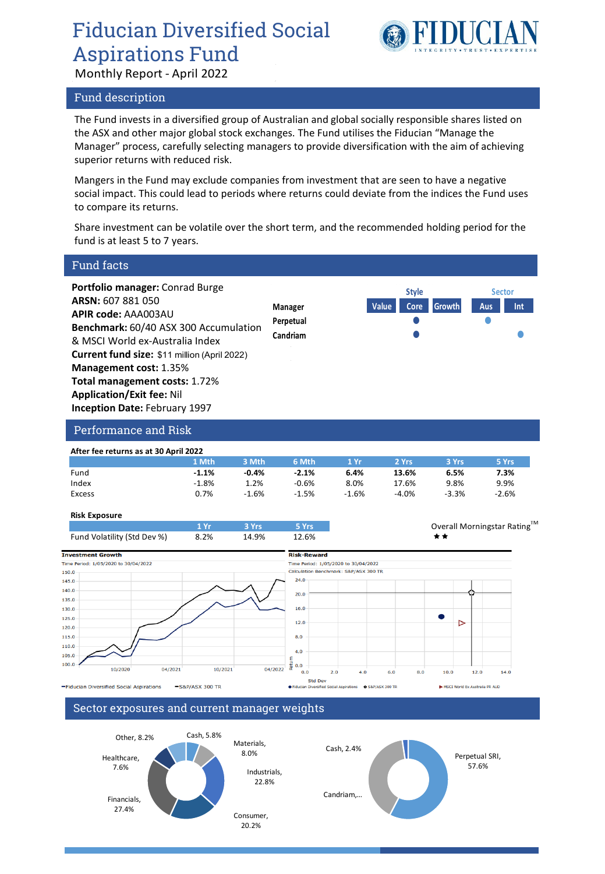## Fiducian Diversified Social Aspirations Fund

Monthly Report - April 2022

### Fund description



The Fund invests in a diversified group of Australian and global socially responsible shares listed on the ASX and other major global stock exchanges. The Fund utilises the Fiducian "Manage the Manager" process, carefully selecting managers to provide diversification with the aim of achieving superior returns with reduced risk.

Mangers in the Fund may exclude companies from investment that are seen to have a negative social impact. This could lead to periods where returns could deviate from the indices the Fund uses to compare its returns.

Share investment can be volatile over the short term, and the recommended holding period for the fund is at least 5 to 7 years.

| <b>Fund facts</b>                                                                                                                                                                                                                                                                                                                                                          |                                  |                                                |                             |
|----------------------------------------------------------------------------------------------------------------------------------------------------------------------------------------------------------------------------------------------------------------------------------------------------------------------------------------------------------------------------|----------------------------------|------------------------------------------------|-----------------------------|
| Portfolio manager: Conrad Burge<br>ARSN: 607 881 050<br>APIR code: AAA003AU<br><b>Benchmark: 60/40 ASX 300 Accumulation</b><br>& MSCI World ex-Australia Index<br><b>Current fund size: \$11 million (April 2022)</b><br><b>Management cost: 1.35%</b><br><b>Total management costs: 1.72%</b><br><b>Application/Exit fee: Nil</b><br><b>Inception Date: February 1997</b> | Manager<br>Perpetual<br>Candriam | <b>Style</b><br>Value<br><b>Growth</b><br>Core | <b>Sector</b><br>Aus<br>Int |
| <b>Performance and Risk</b>                                                                                                                                                                                                                                                                                                                                                |                                  |                                                |                             |
| After fee returns as at 30 April 2022                                                                                                                                                                                                                                                                                                                                      |                                  |                                                |                             |

|        | 1 Mth   | 3 Mth   | 6 Mth   | $4 \, \mathrm{Yr}$ | 2 Yrs   | 3 Yrs   | 5 Yrs   |
|--------|---------|---------|---------|--------------------|---------|---------|---------|
| Fund   | $-1.1%$ | $-0.4%$ | $-2.1%$ | 6.4%               | 13.6%   | 6.5%    | 7.3%    |
| Index  | $-1.8%$ | 1.2%    | $-0.6%$ | 8.0%               | 17.6%   | 9.8%    | 9.9%    |
| Excess | 0.7%    | $-1.6%$ | $-1.5%$ | $-1.6%$            | $-4.0%$ | $-3.3%$ | $-2.6%$ |
|        |         |         |         |                    |         |         |         |

### **Risk Exposure**





#### Sector exposures and current manager weights